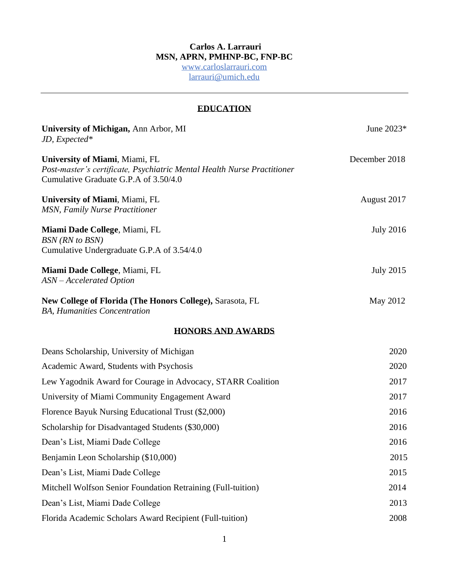# **Carlos A. Larrauri MSN, APRN, PMHNP-BC, FNP-BC**

[www.carloslarrauri.com](http://www.carloslarrauri.com/) [larrauri@umi](mailto:clarrauri@miami.edu)ch.edu

# **EDUCATION**

| University of Michigan, Ann Arbor, MI<br>JD, Expected*                                                                                             | June 2023*       |
|----------------------------------------------------------------------------------------------------------------------------------------------------|------------------|
| University of Miami, Miami, FL<br>Post-master's certificate, Psychiatric Mental Health Nurse Practitioner<br>Cumulative Graduate G.P.A of 3.50/4.0 | December 2018    |
| University of Miami, Miami, FL<br><b>MSN, Family Nurse Practitioner</b>                                                                            | August 2017      |
| Miami Dade College, Miami, FL<br><b>BSN</b> (RN to BSN)<br>Cumulative Undergraduate G.P.A of 3.54/4.0                                              | <b>July 2016</b> |
| Miami Dade College, Miami, FL<br>ASN – Accelerated Option                                                                                          | <b>July 2015</b> |
| New College of Florida (The Honors College), Sarasota, FL<br><b>BA, Humanities Concentration</b>                                                   | May 2012         |
| <b>HONORS AND AWARDS</b>                                                                                                                           |                  |
| Deans Scholarship, University of Michigan                                                                                                          | 2020             |
| Academic Award, Students with Psychosis                                                                                                            | 2020             |
| Lew Yagodnik Award for Courage in Advocacy, STARR Coalition                                                                                        | 2017             |
| University of Miami Community Engagement Award                                                                                                     | 2017             |
| Florence Bayuk Nursing Educational Trust (\$2,000)                                                                                                 | 2016             |
| Scholarship for Disadvantaged Students (\$30,000)                                                                                                  | 2016             |
| Dean's List, Miami Dade College                                                                                                                    | 2016             |
| Benjamin Leon Scholarship (\$10,000)                                                                                                               | 2015             |
| Dean's List, Miami Dade College                                                                                                                    | 2015             |
| Mitchell Wolfson Senior Foundation Retraining (Full-tuition)                                                                                       | 2014             |
| Dean's List, Miami Dade College                                                                                                                    | 2013             |
| Florida Academic Scholars Award Recipient (Full-tuition)                                                                                           | 2008             |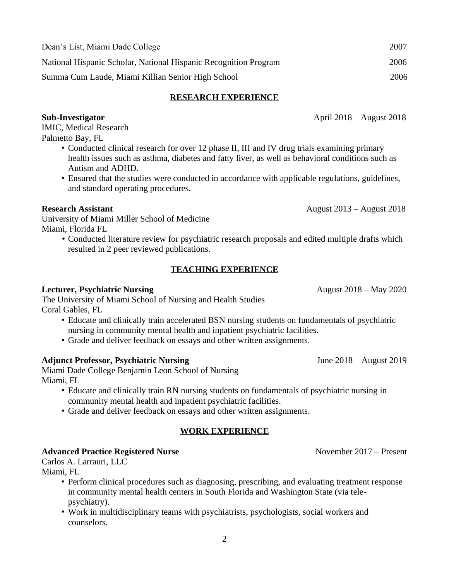| Dean's List, Miami Dade College                                  | 2007 |
|------------------------------------------------------------------|------|
| National Hispanic Scholar, National Hispanic Recognition Program | 2006 |
| Summa Cum Laude, Miami Killian Senior High School                | 2006 |

#### **RESEARCH EXPERIENCE**

**Sub-Investigator** April 2018 – August 2018

IMIC, Medical Research Palmetto Bay, FL

- Conducted clinical research for over 12 phase II, III and IV drug trials examining primary health issues such as asthma, diabetes and fatty liver, as well as behavioral conditions such as Autism and ADHD.
- Ensured that the studies were conducted in accordance with applicable regulations, guidelines, and standard operating procedures.

University of Miami Miller School of Medicine Miami, Florida FL

> • Conducted literature review for psychiatric research proposals and edited multiple drafts which resulted in 2 peer reviewed publications.

#### **TEACHING EXPERIENCE**

#### **Lecturer, Psychiatric Nursing**  $\alpha$  2020

The University of Miami School of Nursing and Health Studies Coral Gables, FL

- Educate and clinically train accelerated BSN nursing students on fundamentals of psychiatric nursing in community mental health and inpatient psychiatric facilities.
- Grade and deliver feedback on essays and other written assignments.

#### **Adjunct Professor, Psychiatric Nursing** *June 2018 – August 2019*

Miami Dade College Benjamin Leon School of Nursing Miami, FL

- Educate and clinically train RN nursing students on fundamentals of psychiatric nursing in community mental health and inpatient psychiatric facilities.
- Grade and deliver feedback on essays and other written assignments.

#### **WORK EXPERIENCE**

#### Advanced Practice Registered Nurse **Nurse 1996** November 2017 – Present

Carlos A. Larrauri, LLC

Miami, FL

- Perform clinical procedures such as diagnosing, prescribing, and evaluating treatment response in community mental health centers in South Florida and Washington State (via telepsychiatry).
- Work in multidisciplinary teams with psychiatrists, psychologists, social workers and counselors.

**Research Assistant August 2013** – August 2018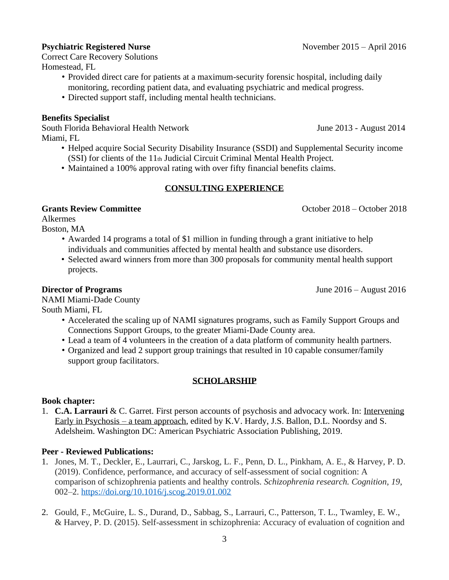#### **Psychiatric Registered Nurse November 2015** – April 2016

Correct Care Recovery Solutions Homestead, FL

- Provided direct care for patients at a maximum-security forensic hospital, including daily monitoring, recording patient data, and evaluating psychiatric and medical progress.
- Directed support staff, including mental health technicians.

# **Benefits Specialist**

South Florida Behavioral Health Network June 2013 - August 2014 Miami, FL

- Helped acquire Social Security Disability Insurance (SSDI) and Supplemental Security income (SSI) for clients of the 11th Judicial Circuit Criminal Mental Health Project.
- Maintained a 100% approval rating with over fifty financial benefits claims.

# **CONSULTING EXPERIENCE**

#### **Grants Review Committee**   $\bullet$  **Committee**   $\bullet$  **October 2018** – October 2018 – October 2018

Alkermes

Boston, MA

- Awarded 14 programs a total of \$1 million in funding through a grant initiative to help individuals and communities affected by mental health and substance use disorders.
- Selected award winners from more than 300 proposals for community mental health support projects.

**Director of Programs** June 2016 – August 2016

NAMI Miami-Dade County South Miami, FL

- Accelerated the scaling up of NAMI signatures programs, such as Family Support Groups and Connections Support Groups, to the greater Miami-Dade County area.
- Lead a team of 4 volunteers in the creation of a data platform of community health partners.
- Organized and lead 2 support group trainings that resulted in 10 capable consumer/family support group facilitators.

# **SCHOLARSHIP**

# **Book chapter:**

1. **C.A. Larrauri** & C. Garret. First person accounts of psychosis and advocacy work. In: Intervening Early in Psychosis – a team approach, edited by K.V. Hardy, J.S. Ballon, D.L. Noordsy and S. Adelsheim. Washington DC: American Psychiatric Association Publishing, 2019.

# **Peer - Reviewed Publications:**

- 1. Jones, M. T., Deckler, E., Laurrari, C., Jarskog, L. F., Penn, D. L., Pinkham, A. E., & Harvey, P. D. (2019). Confidence, performance, and accuracy of self-assessment of social cognition: A comparison of schizophrenia patients and healthy controls. *Schizophrenia research. Cognition*, *19*, 002–2.<https://doi.org/10.1016/j.scog.2019.01.002>
- 2. Gould, F., McGuire, L. S., Durand, D., Sabbag, S., Larrauri, C., Patterson, T. L., Twamley, E. W., & Harvey, P. D. (2015). Self-assessment in schizophrenia: Accuracy of evaluation of cognition and

3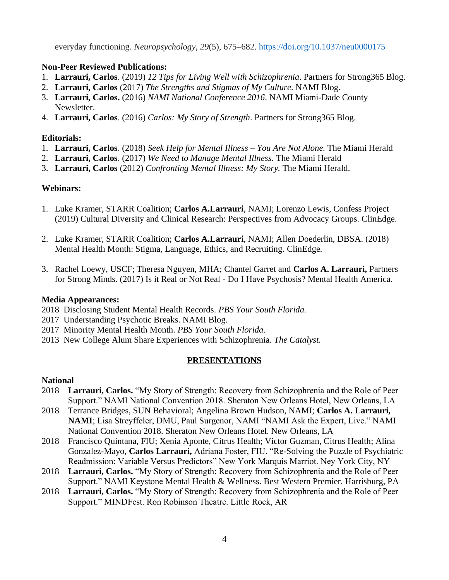everyday functioning. *Neuropsychology*, *29*(5), 675–682.<https://doi.org/10.1037/neu0000175>

# **Non-Peer Reviewed Publications:**

- 1. **Larrauri, Carlos**. (2019) *12 Tips for Living Well with Schizophrenia*. Partners for Strong365 Blog.
- 2. **Larrauri, Carlos** (2017) *The Strengths and Stigmas of My Culture*. NAMI Blog.
- 3. **Larrauri, Carlos.** (2016) *NAMI National Conference 2016*. NAMI Miami-Dade County Newsletter.
- 4. **Larrauri, Carlos**. (2016) *Carlos: My Story of Strength*. Partners for Strong365 Blog.

# **Editorials:**

- 1. **Larrauri, Carlos**. (2018) *Seek Help for Mental Illness – You Are Not Alone.* The Miami Herald
- 2. **Larrauri, Carlos**. (2017) *We Need to Manage Mental Illness.* The Miami Herald
- 3. **Larrauri, Carlos** (2012) *Confronting Mental Illness: My Story.* The Miami Herald.

# **Webinars:**

- 1. Luke Kramer, STARR Coalition; **Carlos A.Larrauri**, NAMI; Lorenzo Lewis, Confess Project (2019) Cultural Diversity and Clinical Research: Perspectives from Advocacy Groups. ClinEdge.
- 2. Luke Kramer, STARR Coalition; **Carlos A.Larrauri**, NAMI; Allen Doederlin, DBSA. (2018) Mental Health Month: Stigma, Language, Ethics, and Recruiting. ClinEdge.
- 3. Rachel Loewy, USCF; Theresa Nguyen, MHA; Chantel Garret and **Carlos A. Larrauri,** Partners for Strong Minds. (2017) Is it Real or Not Real - Do I Have Psychosis? Mental Health America.

# **Media Appearances:**

- 2018 Disclosing Student Mental Health Records. *PBS Your South Florida.*
- 2017 Understanding Psychotic Breaks. NAMI Blog.
- 2017 Minority Mental Health Month. *PBS Your South Florida.*
- 2013 New College Alum Share Experiences with Schizophrenia. *The Catalyst.*

# **PRESENTATIONS**

# **National**

- 2018 **Larrauri, Carlos.** "My Story of Strength: Recovery from Schizophrenia and the Role of Peer Support." NAMI National Convention 2018. Sheraton New Orleans Hotel, New Orleans, LA
- 2018 Terrance Bridges, SUN Behavioral; Angelina Brown Hudson, NAMI; **Carlos A. Larrauri, NAMI**; Lisa Streyffeler, DMU, Paul Surgenor, NAMI "NAMI Ask the Expert, Live." NAMI National Convention 2018. Sheraton New Orleans Hotel. New Orleans, LA
- 2018 Francisco Quintana, FIU; Xenia Aponte, Citrus Health; Victor Guzman, Citrus Health; Alina Gonzalez-Mayo, **Carlos Larrauri,** Adriana Foster, FIU. "Re-Solving the Puzzle of Psychiatric Readmission: Variable Versus Predictors" New York Marquis Marriot. Ney York City, NY
- 2018 **Larrauri, Carlos.** "My Story of Strength: Recovery from Schizophrenia and the Role of Peer Support." NAMI Keystone Mental Health & Wellness. Best Western Premier. Harrisburg, PA
- 2018 **Larrauri, Carlos.** "My Story of Strength: Recovery from Schizophrenia and the Role of Peer Support." MINDFest. Ron Robinson Theatre. Little Rock, AR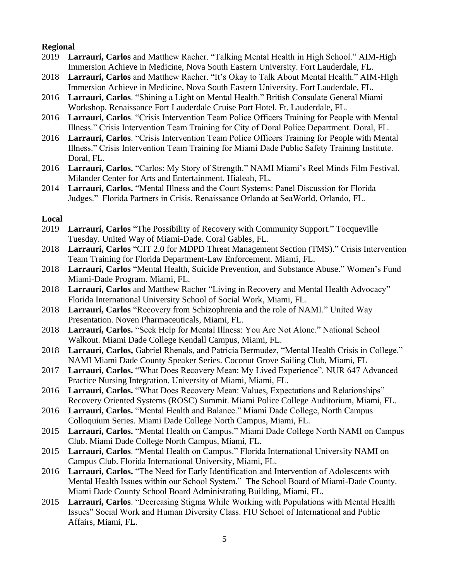# **Regional**

- 2019 **Larrauri, Carlos** and Matthew Racher. "Talking Mental Health in High School." AIM-High Immersion Achieve in Medicine, Nova South Eastern University. Fort Lauderdale, FL.
- 2018 **Larrauri, Carlos** and Matthew Racher. "It's Okay to Talk About Mental Health." AIM-High Immersion Achieve in Medicine, Nova South Eastern University. Fort Lauderdale, FL.
- 2016 **Larrauri, Carlos**. "Shining a Light on Mental Health." British Consulate General Miami Workshop. Renaissance Fort Lauderdale Cruise Port Hotel. Ft. Lauderdale, FL.
- 2016 **Larrauri, Carlos**. "Crisis Intervention Team Police Officers Training for People with Mental Illness." Crisis Intervention Team Training for City of Doral Police Department. Doral, FL.
- 2016 **Larrauri, Carlos**. "Crisis Intervention Team Police Officers Training for People with Mental Illness." Crisis Intervention Team Training for Miami Dade Public Safety Training Institute. Doral, FL.
- 2016 **Larrauri, Carlos.** "Carlos: My Story of Strength." NAMI Miami's Reel Minds Film Festival. Milander Center for Arts and Entertainment. Hialeah, FL.
- 2014 **Larrauri, Carlos.** "Mental Illness and the Court Systems: Panel Discussion for Florida Judges." Florida Partners in Crisis. Renaissance Orlando at SeaWorld, Orlando, FL.

#### **Local**

- 2019 **Larrauri, Carlos** "The Possibility of Recovery with Community Support." Tocqueville Tuesday. United Way of Miami-Dade. Coral Gables, FL.
- 2018 **Larrauri, Carlos** "CIT 2.0 for MDPD Threat Management Section (TMS)." Crisis Intervention Team Training for Florida Department-Law Enforcement. Miami, FL.
- 2018 **Larrauri, Carlos** "Mental Health, Suicide Prevention, and Substance Abuse." Women's Fund Miami-Dade Program. Miami, FL.
- 2018 **Larrauri, Carlos** and Matthew Racher "Living in Recovery and Mental Health Advocacy" Florida International University School of Social Work, Miami, FL.
- 2018 **Larrauri, Carlos** "Recovery from Schizophrenia and the role of NAMI." United Way Presentation. Noven Pharmaceuticals, Miami, FL.
- 2018 **Larrauri, Carlos.** "Seek Help for Mental Illness: You Are Not Alone." National School Walkout. Miami Dade College Kendall Campus, Miami, FL.
- 2018 **Larrauri, Carlos,** Gabriel Rhenals, and Patricia Bermudez, "Mental Health Crisis in College." NAMI Miami Dade County Speaker Series. Coconut Grove Sailing Club, Miami, FL
- 2017 **Larrauri, Carlos.** "What Does Recovery Mean: My Lived Experience". NUR 647 Advanced Practice Nursing Integration. University of Miami, Miami, FL.
- 2016 **Larrauri, Carlos.** "What Does Recovery Mean: Values, Expectations and Relationships" Recovery Oriented Systems (ROSC) Summit. Miami Police College Auditorium, Miami, FL.
- 2016 **Larrauri, Carlos.** "Mental Health and Balance." Miami Dade College, North Campus Colloquium Series. Miami Dade College North Campus, Miami, FL.
- 2015 **Larrauri, Carlos.** "Mental Health on Campus." Miami Dade College North NAMI on Campus Club. Miami Dade College North Campus, Miami, FL.
- 2015 **Larrauri, Carlos**. "Mental Health on Campus." Florida International University NAMI on Campus Club. Florida International University, Miami, FL.
- 2016 **Larrauri, Carlos.** "The Need for Early Identification and Intervention of Adolescents with Mental Health Issues within our School System." The School Board of Miami-Dade County. Miami Dade County School Board Administrating Building, Miami, FL.
- 2015 **Larrauri, Carlos**. "Decreasing Stigma While Working with Populations with Mental Health Issues" Social Work and Human Diversity Class. FIU School of International and Public Affairs, Miami, FL.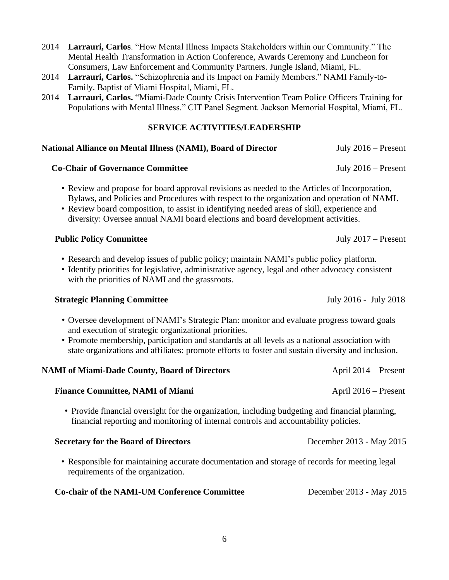- 2014 **Larrauri, Carlos**. "How Mental Illness Impacts Stakeholders within our Community." The Mental Health Transformation in Action Conference, Awards Ceremony and Luncheon for Consumers, Law Enforcement and Community Partners. Jungle Island, Miami, FL.
- 2014 **Larrauri, Carlos.** "Schizophrenia and its Impact on Family Members." NAMI Family-to-Family. Baptist of Miami Hospital, Miami, FL.
- 2014 **Larrauri, Carlos.** "Miami-Dade County Crisis Intervention Team Police Officers Training for Populations with Mental Illness." CIT Panel Segment. Jackson Memorial Hospital, Miami, FL.

#### **SERVICE ACTIVITIES/LEADERSHIP**

# **National Alliance on Mental Illness (NAMI), Board of Director** July 2016 – Present

# **Co-Chair of Governance Committee** July 2016 – Present

- Review and propose for board approval revisions as needed to the Articles of Incorporation, Bylaws, and Policies and Procedures with respect to the organization and operation of NAMI.
- Review board composition, to assist in identifying needed areas of skill, experience and diversity: Oversee annual NAMI board elections and board development activities.

# **Public Policy Committee** July 2017 – Present

- Research and develop issues of public policy; maintain NAMI's public policy platform.
- Identify priorities for legislative, administrative agency, legal and other advocacy consistent with the priorities of NAMI and the grassroots.

# **Strategic Planning Committee** <br>July 2016 - July 2018

- Oversee development of NAMI's Strategic Plan: monitor and evaluate progress toward goals and execution of strategic organizational priorities.
- Promote membership, participation and standards at all levels as a national association with state organizations and affiliates: promote efforts to foster and sustain diversity and inclusion.

| <b>NAMI of Miami-Dade County, Board of Directors</b>                                                                                                                                    | April $2014$ – Present   |
|-----------------------------------------------------------------------------------------------------------------------------------------------------------------------------------------|--------------------------|
| <b>Finance Committee, NAMI of Miami</b>                                                                                                                                                 | April $2016$ – Present   |
| • Provide financial oversight for the organization, including budgeting and financial planning,<br>financial reporting and monitoring of internal controls and accountability policies. |                          |
| <b>Secretary for the Board of Directors</b>                                                                                                                                             | December 2013 - May 2015 |

• Responsible for maintaining accurate documentation and storage of records for meeting legal requirements of the organization.

| <b>Co-chair of the NAMI-UM Conference Committee</b> | December 2013 - May 2015 |
|-----------------------------------------------------|--------------------------|
|-----------------------------------------------------|--------------------------|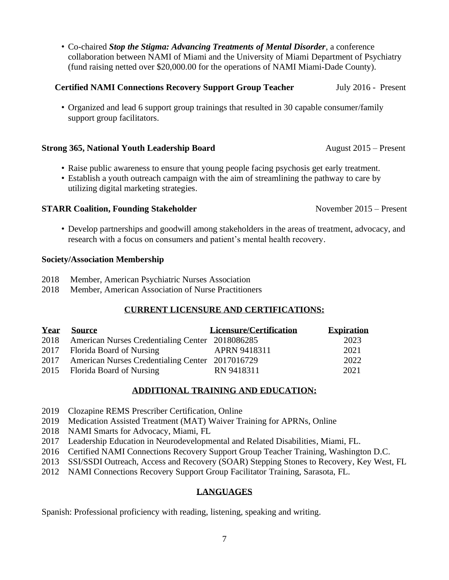• Co-chaired *Stop the Stigma: Advancing Treatments of Mental Disorder*, a conference collaboration between NAMI of Miami and the University of Miami Department of Psychiatry (fund raising netted over \$20,000.00 for the operations of NAMI Miami-Dade County).

#### **Certified NAMI Connections Recovery Support Group Teacher** July 2016 - Present

• Organized and lead 6 support group trainings that resulted in 30 capable consumer/family support group facilitators.

#### **Strong 365, National Youth Leadership Board** August 2015 – Present

- Raise public awareness to ensure that young people facing psychosis get early treatment.
- Establish a youth outreach campaign with the aim of streamlining the pathway to care by utilizing digital marketing strategies.

#### **STARR Coalition, Founding Stakeholder** November 2015 – Present

• Develop partnerships and goodwill among stakeholders in the areas of treatment, advocacy, and research with a focus on consumers and patient's mental health recovery.

#### **Society/Association Membership**

- 2018 Member, American Psychiatric Nurses Association
- 2018 Member, American Association of Nurse Practitioners

# **CURRENT LICENSURE AND CERTIFICATIONS:**

| Year | Source                                               | <b>Licensure/Certification</b> | <b>Expiration</b> |
|------|------------------------------------------------------|--------------------------------|-------------------|
|      | 2018 American Nurses Credentialing Center 2018086285 |                                | 2023              |
|      | 2017 Florida Board of Nursing                        | APRN 9418311                   | 2021              |
|      | 2017 American Nurses Credentialing Center 2017016729 |                                | 2022              |
|      | 2015 Florida Board of Nursing                        | RN 9418311                     | 2021              |

#### **ADDITIONAL TRAINING AND EDUCATION:**

- 2019 Clozapine REMS Prescriber Certification, Online
- 2019 Medication Assisted Treatment (MAT) Waiver Training for APRNs, Online
- 2018 NAMI Smarts for Advocacy, Miami, FL
- 2017 Leadership Education in Neurodevelopmental and Related Disabilities, Miami, FL.
- 2016 Certified NAMI Connections Recovery Support Group Teacher Training, Washington D.C.
- 2013 SSI/SSDI Outreach, Access and Recovery (SOAR) Stepping Stones to Recovery, Key West, FL
- 2012 NAMI Connections Recovery Support Group Facilitator Training, Sarasota, FL.

#### **LANGUAGES**

Spanish: Professional proficiency with reading, listening, speaking and writing.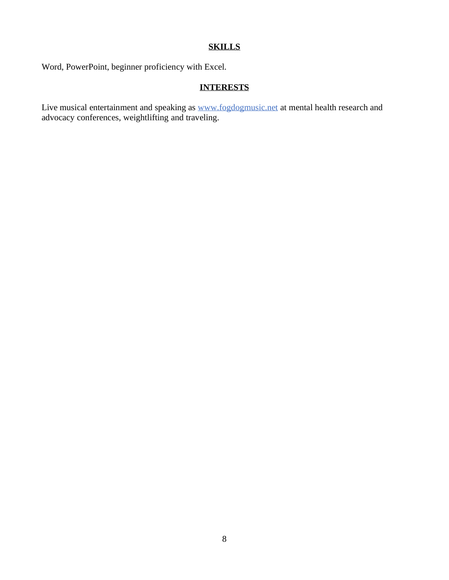# **SKILLS**

Word, PowerPoint, beginner proficiency with Excel.

# **INTERESTS**

Live musical entertainment and speaking as [www.fogdogmusic.net](http://www.fogdogmusic.net/) at mental health research and advocacy conferences, weightlifting and traveling.